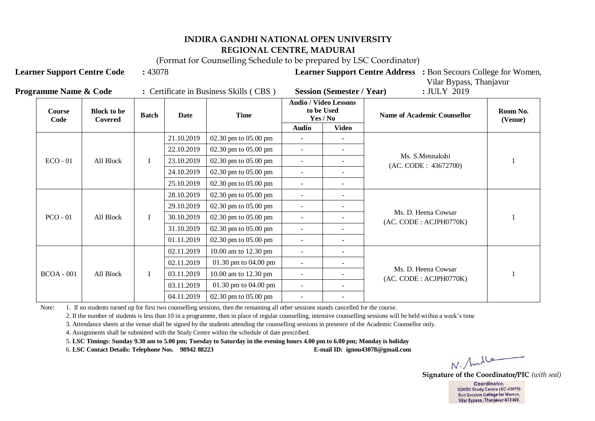(Format for Counselling Schedule to be prepared by LSC Coordinator)

**Learner Support Centre Code :** 43078 **Learner Support Centre Address :** Bon Secours College for Women,

| <b>Programme Name &amp; Code</b> | Certificate in Business Skills (CBS) | <b>Session (Semester / Year)</b> | : JULY 2019 |
|----------------------------------|--------------------------------------|----------------------------------|-------------|

Vilar Bypass, Thanjavur

| Course<br>Code | <b>Block to be</b><br>Covered | <b>Batch</b> | Date       | <b>Time</b>            |                          | <b>Audio / Video Lessons</b><br>to be Used<br>Yes / No | <b>Name of Academic Counsellor</b>            | Room No.<br>(Venue) |
|----------------|-------------------------------|--------------|------------|------------------------|--------------------------|--------------------------------------------------------|-----------------------------------------------|---------------------|
|                |                               |              |            |                        | <b>Audio</b>             | Video                                                  |                                               |                     |
|                |                               |              | 21.10.2019 | 02.30 pm to 05.00 pm   |                          |                                                        |                                               |                     |
|                |                               |              | 22.10.2019 | 02.30 pm to 05.00 pm   |                          |                                                        |                                               |                     |
| $ECO - 01$     | All Block                     |              | 23.10.2019 | 02.30 pm to 05.00 pm   |                          |                                                        | Ms. S.Mennakshi<br>(AC. CODE: 43672700)       |                     |
|                |                               |              | 24.10.2019 | 02.30 pm to $05.00$ pm |                          |                                                        |                                               |                     |
|                |                               |              | 25.10.2019 | 02.30 pm to $05.00$ pm | $\overline{\phantom{a}}$ |                                                        |                                               |                     |
|                |                               |              | 28.10.2019 | 02.30 pm to $05.00$ pm | $\overline{\phantom{a}}$ | $\overline{\phantom{a}}$                               | Ms. D. Heena Cowsar<br>(AC. CODE: ACJPH0770K) |                     |
|                | All Block                     | I            | 29.10.2019 | 02.30 pm to 05.00 pm   | $\overline{\phantom{a}}$ |                                                        |                                               |                     |
| $PCO - 01$     |                               |              | 30.10.2019 | 02.30 pm to $05.00$ pm |                          |                                                        |                                               |                     |
|                |                               |              | 31.10.2019 | 02.30 pm to $05.00$ pm |                          |                                                        |                                               |                     |
|                |                               |              | 01.11.2019 | 02.30 pm to 05.00 pm   | $\overline{\phantom{a}}$ | $\overline{\phantom{a}}$                               |                                               |                     |
|                |                               |              | 02.11.2019 | 10.00 am to 12.30 pm   |                          |                                                        |                                               |                     |
|                |                               |              | 02.11.2019 | 01.30 pm to 04.00 pm   |                          |                                                        |                                               |                     |
| $BCOA - 001$   | All Block                     |              | 03.11.2019 | 10.00 am to 12.30 pm   |                          |                                                        | Ms. D. Heena Cowsar<br>(AC. CODE: ACJPH0770K) |                     |
|                |                               |              | 03.11.2019 | 01.30 pm to $04.00$ pm | $\overline{\phantom{a}}$ | $\overline{\phantom{a}}$                               |                                               |                     |
|                |                               |              | 04.11.2019 | 02.30 pm to $05.00$ pm |                          |                                                        |                                               |                     |

Note: 1. If no students turned up for first two counselling sessions, then the remaining all other sessions stands cancelled for the course.

2. If the number of students is less than 10 in a programme, then in place of regular counselling, intensive counselling sessions will be held within a week's time

3. Attendance sheets at the venue shall be signed by the students attending the counselling sessions in presence of the Academic Counsellor only.

4. Assignments shall be submitted with the Study Centre within the schedule of date prescribed.

5. **LSC Timings**: **Sunday 9.30 am to 5.00 pm; Tuesday to Saturday in the evening hours 4.00 pm to 6.00 pm; Monday is holiday** 

6. **LSC Contact Details: Telephone Nos. 98942 88223 E-mail ID: ignou43078@gmail.com**

 $N.$  /had  $6$ 

**Signature of the Coordinator/PIC** *(with seal)*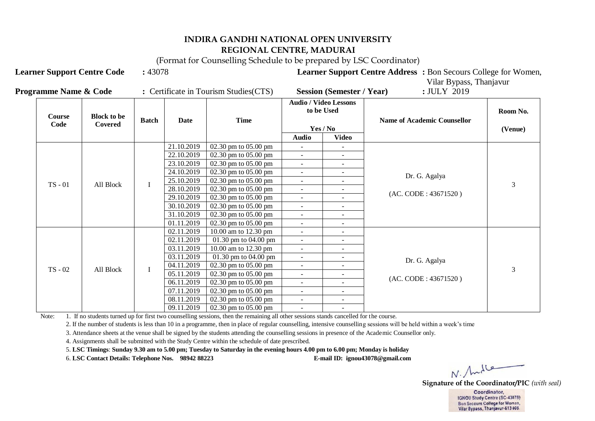(Format for Counselling Schedule to be prepared by LSC Coordinator)

**Learner Support Centre Code** : 43078 **Learner Support Centre Address** : Bon Secours College for Women,

|                                  |                                        |                                  | Vilar Bypass, Thanjavur |
|----------------------------------|----------------------------------------|----------------------------------|-------------------------|
| <b>Programme Name &amp; Code</b> | : Certificate in Tourism Studies (CTS) | <b>Session (Semester / Year)</b> | $:$ JULY 2019           |

| Course    | <b>Block to be</b><br>Code<br>Covered |         | Date       | <b>Time</b>                              | <b>Audio / Video Lessons</b><br>to be Used |                          | <b>Name of Academic Counsellor</b> | Room No.       |
|-----------|---------------------------------------|---------|------------|------------------------------------------|--------------------------------------------|--------------------------|------------------------------------|----------------|
|           |                                       |         |            |                                          |                                            | Yes / No                 |                                    | (Venue)        |
|           |                                       |         |            |                                          | <b>Audio</b>                               | <b>Video</b>             |                                    |                |
|           |                                       |         | 21.10.2019 | 02.30 pm to $05.00$ pm                   | $\sim$                                     | $\sim$                   |                                    |                |
|           |                                       |         | 22.10.2019 | 02.30 pm to 05.00 pm                     | $\sim$                                     | $\sim$                   |                                    |                |
|           |                                       |         | 23.10.2019 | 02.30 pm to $05.00$ pm                   | $\sim$                                     | $\sim$                   |                                    |                |
|           |                                       |         | 24.10.2019 | 02.30 pm to $05.00$ pm                   | $\sim$                                     | $\sim$                   | Dr. G. Agalya                      |                |
| $TS - 01$ | All Block                             |         | 25.10.2019 | $02.30$ pm to $05.00$ pm                 | $\sim$                                     | $\sim$                   | (AC. CODE: 43671520)               | 3              |
|           |                                       |         | 28.10.2019 | $02.30$ pm to $05.00$ pm                 | $\sim$                                     | $\sim$                   |                                    |                |
|           |                                       |         | 29.10.2019 | $02.30 \text{ pm}$ to $05.00 \text{ pm}$ |                                            |                          |                                    |                |
|           |                                       |         | 30.10.2019 | 02.30 pm to $05.00$ pm                   |                                            |                          |                                    |                |
|           |                                       |         | 31.10.2019 | 02.30 pm to $05.00$ pm                   | $\sim$                                     | $\sim$                   |                                    |                |
|           |                                       |         | 01.11.2019 | 02.30 pm to $05.00$ pm                   | $\sim$                                     | $\sim$                   |                                    |                |
|           |                                       |         | 02.11.2019 | 10.00 am to 12.30 pm                     | $\sim$                                     | $\sim$                   |                                    |                |
|           |                                       |         | 02.11.2019 | 01.30 pm to 04.00 pm                     | $\sim$                                     | $\sim$                   |                                    |                |
|           |                                       |         | 03.11.2019 | 10.00 am to 12.30 pm                     | $\sim$                                     | $\overline{\phantom{a}}$ |                                    |                |
|           |                                       |         | 03.11.2019 | 01.30 pm to $04.00$ pm                   | $\sim$                                     | $\sim$                   | Dr. G. Agalya                      |                |
| $TS - 02$ | All Block                             | $\bf I$ | 04.11.2019 | $02.30$ pm to $05.00$ pm                 | $\sim$                                     | $\sim$                   |                                    | $\overline{3}$ |
|           |                                       |         | 05.11.2019 | 02.30 pm to 05.00 pm                     | $\sim$                                     | $\sim$                   | (AC. CODE: 43671520)               |                |
|           |                                       |         | 06.11.2019 | $02.30$ pm to $05.00$ pm                 | $\sim$                                     | $\sim$                   |                                    |                |
|           |                                       |         | 07.11.2019 | 02.30 pm to $05.00$ pm                   | $\sim$                                     | $\sim$                   |                                    |                |
|           |                                       |         | 08.11.2019 | $02.30$ pm to $05.00$ pm                 | $\sim$                                     | $\sim$                   |                                    |                |
|           |                                       |         | 09.11.2019 | 02.30 pm to 05.00 pm                     | $\sim$                                     |                          |                                    |                |

Note: 1. If no students turned up for first two counselling sessions, then the remaining all other sessions stands cancelled for the course.

2. If the number of students is less than 10 in a programme, then in place of regular counselling, intensive counselling sessions will be held within a week's time

3. Attendance sheets at the venue shall be signed by the students attending the counselling sessions in presence of the Academic Counsellor only.

4. Assignments shall be submitted with the Study Centre within the schedule of date prescribed.

5. **LSC Timings**: **Sunday 9.30 am to 5.00 pm; Tuesday to Saturday in the evening hours 4.00 pm to 6.00 pm; Monday is holiday** 

6. **LSC Contact Details: Telephone Nos. 98942 88223 E-mail ID: ignou43078@gmail.com**

N. Andle

**Signature of the Coordinator/PIC** *(with seal)*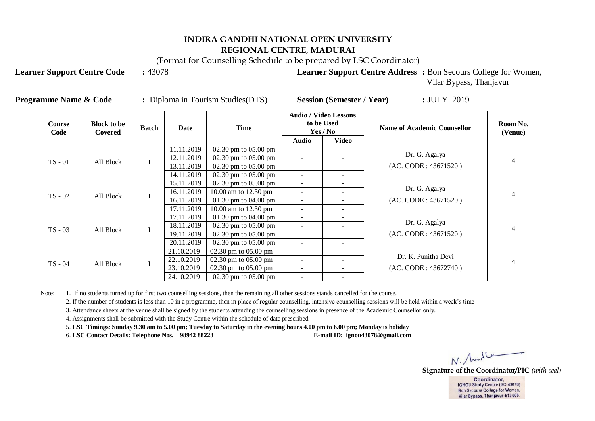(Format for Counselling Schedule to be prepared by LSC Coordinator)

**Learner Support Centre Code** : 43078 **Learner Support Centre Address** : Bon Secours College for Women,

Vilar Bypass, Thanjavur

| <b>Course</b><br>Code | <b>Block to be</b><br>Covered | <b>Batch</b> | Date       | <b>Time</b>                              |                          | <b>Audio / Video Lessons</b><br>to be Used<br>Yes / No | <b>Name of Academic Counsellor</b> | Room No.<br>(Venue)  |
|-----------------------|-------------------------------|--------------|------------|------------------------------------------|--------------------------|--------------------------------------------------------|------------------------------------|----------------------|
|                       |                               |              |            |                                          | Audio                    | Video                                                  |                                    |                      |
|                       |                               |              | 11.11.2019 | $02.30$ pm to $05.00$ pm                 | $\blacksquare$           |                                                        |                                    |                      |
| $TS - 01$             | All Block                     |              | 12.11.2019 | $02.30 \text{ pm}$ to $05.00 \text{ pm}$ | $\overline{\phantom{a}}$ |                                                        | Dr. G. Agalya                      | 4                    |
|                       |                               |              | 13.11.2019 | $02.30 \text{ pm}$ to $05.00 \text{ pm}$ | $\overline{\phantom{a}}$ | $\overline{\phantom{a}}$                               | (AC. CODE: 43671520)               |                      |
|                       |                               |              | 14.11.2019 | $02.30 \text{ pm}$ to $05.00 \text{ pm}$ | $\overline{\phantom{a}}$ | $\overline{\phantom{0}}$                               |                                    |                      |
|                       | All Block                     |              | 15.11.2019 | $02.30 \text{ pm}$ to $05.00 \text{ pm}$ | $\overline{\phantom{a}}$ | $\overline{\phantom{0}}$                               |                                    |                      |
| $TS - 02$             |                               |              | 16.11.2019 | 10.00 am to 12.30 pm                     | $\overline{\phantom{a}}$ | $\blacksquare$                                         | Dr. G. Agalya                      |                      |
|                       |                               |              |            | 16.11.2019                               | 01.30 pm to $04.00$ pm   | $\overline{\phantom{a}}$                               | $\overline{\phantom{a}}$           | (AC. CODE: 43671520) |
|                       |                               |              | 17.11.2019 | 10.00 am to 12.30 pm                     | $\sim$                   | $\overline{\phantom{a}}$                               |                                    |                      |
|                       |                               |              | 17.11.2019 | 01.30 pm to $04.00$ pm                   | $\sim$                   | $\overline{\phantom{a}}$                               |                                    |                      |
| $TS - 03$             | All Block                     |              | 18.11.2019 | 02.30 pm to 05.00 pm                     | $\overline{\phantom{a}}$ | $\overline{\phantom{a}}$                               | Dr. G. Agalya                      |                      |
|                       |                               |              | 19.11.2019 | $02.30$ pm to $05.00$ pm                 | $\blacksquare$           | $\overline{\phantom{a}}$                               | (AC. CODE: 43671520)               |                      |
|                       |                               |              | 20.11.2019 | $02.30 \text{ pm}$ to $05.00 \text{ pm}$ | $\overline{\phantom{a}}$ | $\overline{\phantom{a}}$                               |                                    |                      |
|                       |                               |              | 21.10.2019 | $02.30 \text{ pm}$ to $05.00 \text{ pm}$ | $\overline{\phantom{a}}$ | $\overline{\phantom{0}}$                               |                                    |                      |
| TS - 04               | All Block                     |              | 22.10.2019 | $02.30$ pm to $05.00$ pm                 | $\overline{\phantom{a}}$ |                                                        | Dr. K. Punitha Devi                |                      |
|                       |                               |              | 23.10.2019 | $02.30$ pm to $05.00$ pm                 | $\overline{\phantom{a}}$ | $\overline{\phantom{a}}$                               | (AC. CODE: 43672740)               |                      |
|                       |                               |              | 24.10.2019 | $02.30 \text{ pm}$ to $05.00 \text{ pm}$ |                          |                                                        |                                    |                      |

Note: 1. If no students turned up for first two counselling sessions, then the remaining all other sessions stands cancelled for the course.

2. If the number of students is less than 10 in a programme, then in place of regular counselling, intensive counselling sessions will be held within a week's time

3. Attendance sheets at the venue shall be signed by the students attending the counselling sessions in presence of the Academic Counsellor only.

**Programme Name & Code :** Diploma in Tourism Studies(DTS) **Session (Semester / Year) :** JULY 2019

4. Assignments shall be submitted with the Study Centre within the schedule of date prescribed.

5. **LSC Timings**: **Sunday 9.30 am to 5.00 pm; Tuesday to Saturday in the evening hours 4.00 pm to 6.00 pm; Monday is holiday** 

6. **LSC Contact Details: Telephone Nos. 98942 88223 E-mail ID: ignou43078@gmail.com**

N. Andle

**Signature of the Coordinator/PIC** *(with seal)*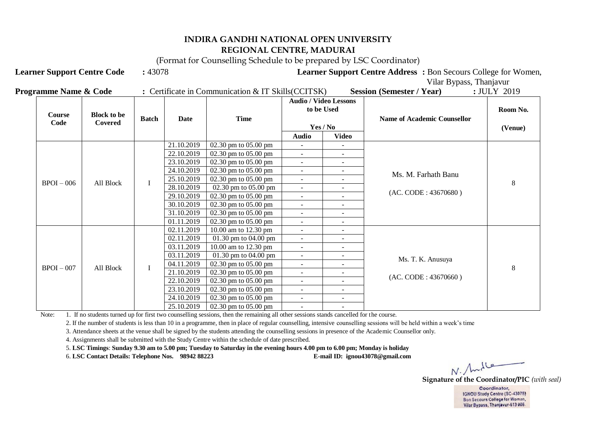(Format for Counselling Schedule to be prepared by LSC Coordinator)

**Learner Support Centre Code** : 43078 **Learner Support Centre Address** : Bon Secours College for Women,

Vilar Bypass, Thanjavur

| <b>Programme Name &amp; Code</b> | Certificate in Communication & IT Skills (CCITSK) | <b>Session (Semester / Year)</b> | <b>JULY 2019</b> |
|----------------------------------|---------------------------------------------------|----------------------------------|------------------|
|----------------------------------|---------------------------------------------------|----------------------------------|------------------|

| <b>Course</b><br>Code | <b>Block to be</b><br>Covered | <b>Batch</b> | Date       | <b>Time</b>                              |                          | <b>Audio / Video Lessons</b><br>to be Used<br>Yes / No | <b>Name of Academic Counsellor</b> | Room No.<br>(Venue) |
|-----------------------|-------------------------------|--------------|------------|------------------------------------------|--------------------------|--------------------------------------------------------|------------------------------------|---------------------|
|                       |                               |              |            |                                          | Audio                    | <b>Video</b>                                           |                                    |                     |
|                       |                               |              | 21.10.2019 | 02.30 pm to 05.00 pm                     | $\sim$                   | $\sim$                                                 |                                    |                     |
|                       |                               |              | 22.10.2019 | 02.30 pm to 05.00 pm                     | $\sim$                   | $\sim$                                                 |                                    |                     |
|                       |                               |              | 23.10.2019 | $02.30 \text{ pm}$ to $05.00 \text{ pm}$ | $\sim$                   | $\overline{\phantom{a}}$                               |                                    |                     |
|                       |                               |              | 24.10.2019 | 02.30 pm to 05.00 pm                     | $\sim$                   | $\overline{\phantom{a}}$                               | Ms. M. Farhath Banu                |                     |
| $BPOI - 006$          | All Block                     |              | 25.10.2019 | $02.30 \text{ pm}$ to $05.00 \text{ pm}$ | $\sim$                   | $\overline{\phantom{a}}$                               | (AC. CODE: 43670680)               | 8                   |
|                       |                               |              | 28.10.2019 | 02.30 pm to 05.00 pm                     | $\sim$                   | $\overline{\phantom{a}}$                               |                                    |                     |
|                       |                               |              | 29.10.2019 | $02.30$ pm to $05.00$ pm                 | $\sim$                   | $\blacksquare$                                         |                                    |                     |
|                       |                               |              | 30.10.2019 | 02.30 pm to 05.00 pm                     | $\sim$                   | $\sim$                                                 |                                    |                     |
|                       |                               |              | 31.10.2019 | 02.30 pm to 05.00 pm                     | $\sim$                   | $\sim$                                                 |                                    |                     |
|                       |                               |              | 01.11.2019 | 02.30 pm to 05.00 pm                     | $\sim$                   | $\sim$                                                 |                                    |                     |
|                       |                               |              | 02.11.2019 | 10.00 am to 12.30 pm                     | $\sim$                   | $\sim$                                                 |                                    |                     |
|                       |                               |              | 02.11.2019 | 01.30 pm to $04.00$ pm                   | $\sim$                   | $\sim$                                                 |                                    |                     |
|                       |                               |              | 03.11.2019 | 10.00 am to 12.30 pm                     | $\sim$                   | $\sim$                                                 |                                    |                     |
|                       |                               |              | 03.11.2019 | 01.30 pm to $04.00$ pm                   | $\sim$                   | $\sim$                                                 | Ms. T. K. Anusuya                  |                     |
| $BPOI - 007$          | All Block                     | I            | 04.11.2019 | $02.30 \text{ pm}$ to $05.00 \text{ pm}$ | $\sim$                   | $\sim$                                                 |                                    | 8                   |
|                       |                               |              | 21.10.2019 | 02.30 pm to 05.00 pm                     | $\sim$                   | $\sim$                                                 | (AC. CODE: 43670660)               |                     |
|                       |                               |              | 22.10.2019 | $02.30$ pm to $05.00$ pm                 | $\sim$                   | $\sim$                                                 |                                    |                     |
|                       |                               |              | 23.10.2019 | 02.30 pm to 05.00 pm                     | $\sim$                   | $\sim$                                                 |                                    |                     |
|                       |                               |              | 24.10.2019 | 02.30 pm to 05.00 pm                     | $\sim$                   | $\sim$                                                 |                                    |                     |
|                       |                               |              | 25.10.2019 | $02.30$ pm to $05.00$ pm                 | $\overline{\phantom{a}}$ | $\overline{\phantom{a}}$                               |                                    |                     |

Note: 1. If no students turned up for first two counselling sessions, then the remaining all other sessions stands cancelled for the course.

2. If the number of students is less than 10 in a programme, then in place of regular counselling, intensive counselling sessions will be held within a week's time

3. Attendance sheets at the venue shall be signed by the students attending the counselling sessions in presence of the Academic Counsellor only.

4. Assignments shall be submitted with the Study Centre within the schedule of date prescribed.

5. **LSC Timings**: **Sunday 9.30 am to 5.00 pm; Tuesday to Saturday in the evening hours 4.00 pm to 6.00 pm; Monday is holiday** 

6. **LSC Contact Details: Telephone Nos. 98942 88223 E-mail ID: ignou43078@gmail.com**

**Signature of the Coordinator/PIC** *(with seal)*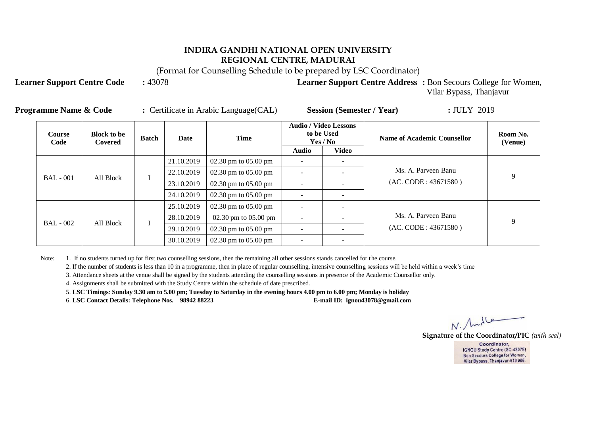(Format for Counselling Schedule to be prepared by LSC Coordinator)

**Learner Support Centre Code** : 43078 **Learner Support Centre Address** : Bon Secours College for Women,

Vilar Bypass, Thanjavur

| <b>Programme Name &amp; Code</b> | Certificate in Arabic Language (CAL) | <b>Session (Semester / Year)</b> | : JULY 2019 |
|----------------------------------|--------------------------------------|----------------------------------|-------------|
|----------------------------------|--------------------------------------|----------------------------------|-------------|

| <b>Course</b><br>Code | <b>Block to be</b><br>Covered | <b>Batch</b> | Date       | <b>Time</b>              |              | <b>Audio / Video Lessons</b><br>to be Used<br>Yes / No | <b>Name of Academic Counsellor</b>          | Room No.<br>(Venue) |
|-----------------------|-------------------------------|--------------|------------|--------------------------|--------------|--------------------------------------------------------|---------------------------------------------|---------------------|
|                       |                               |              |            |                          | <b>Audio</b> | <b>Video</b>                                           |                                             |                     |
|                       |                               |              | 21.10.2019 | $02.30$ pm to $05.00$ pm |              |                                                        |                                             |                     |
|                       | All Block                     |              | 22.10.2019 | $02.30$ pm to $05.00$ pm |              |                                                        | Ms. A. Parveen Banu<br>(AC. CODE: 43671580) | 9                   |
| <b>BAL</b> - 001      |                               |              | 23.10.2019 | 02.30 pm to $05.00$ pm   |              |                                                        |                                             |                     |
|                       |                               |              | 24.10.2019 | 02.30 pm to $05.00$ pm   |              |                                                        |                                             |                     |
|                       |                               |              | 25.10.2019 | 02.30 pm to $05.00$ pm   |              |                                                        |                                             | 9                   |
| $BAL - 002$           | All Block                     |              | 28.10.2019 | 02.30 pm to 05.00 pm     |              |                                                        | Ms. A. Parveen Banu                         |                     |
|                       |                               |              | 29.10.2019 | 02.30 pm to $05.00$ pm   |              |                                                        | (AC. CODE: 43671580)                        |                     |
|                       |                               |              | 30.10.2019 | 02.30 pm to $05.00$ pm   |              | $\overline{\phantom{0}}$                               |                                             |                     |

Note: 1. If no students turned up for first two counselling sessions, then the remaining all other sessions stands cancelled for the course.

2. If the number of students is less than 10 in a programme, then in place of regular counselling, intensive counselling sessions will be held within a week's time

3. Attendance sheets at the venue shall be signed by the students attending the counselling sessions in presence of the Academic Counsellor only.

4. Assignments shall be submitted with the Study Centre within the schedule of date prescribed.

5. **LSC Timings**: **Sunday 9.30 am to 5.00 pm; Tuesday to Saturday in the evening hours 4.00 pm to 6.00 pm; Monday is holiday** 

6. **LSC Contact Details: Telephone Nos. 98942 88223 E-mail ID: ignou43078@gmail.com**

 $N.$  And le

**Signature of the Coordinator/PIC** *(with seal)*